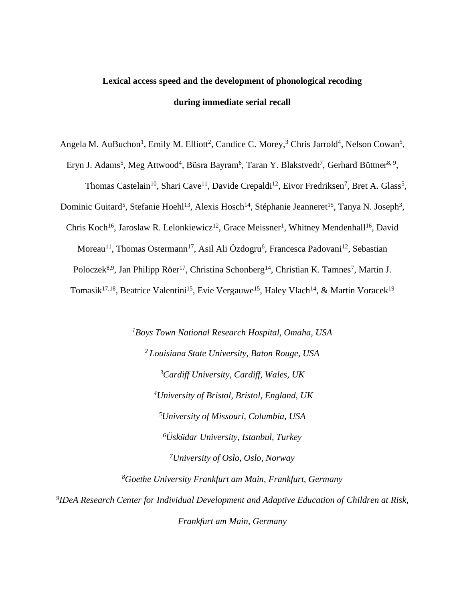# **Lexical access speed and the development of phonological recoding during immediate serial recall**

Angela M. AuBuchon<sup>1</sup>, Emily M. Elliott<sup>2</sup>, Candice C. Morey,<sup>3</sup> Chris Jarrold<sup>4</sup>, Nelson Cowan<sup>5</sup>,

Eryn J. Adams<sup>5</sup>, Meg Attwood<sup>4</sup>, Büsra Bayram<sup>6</sup>, Taran Y. Blakstvedt<sup>7</sup>, Gerhard Büttner<sup>8, 9</sup>,

Thomas Castelain<sup>10</sup>, Shari Cave<sup>11</sup>, Davide Crepaldi<sup>12</sup>, Eivor Fredriksen<sup>7</sup>, Bret A. Glass<sup>5</sup>,

Dominic Guitard<sup>5</sup>, Stefanie Hoehl<sup>13</sup>, Alexis Hosch<sup>14</sup>, Stéphanie Jeanneret<sup>15</sup>, Tanya N. Joseph<sup>3</sup>,

Chris Koch<sup>16</sup>, Jaroslaw R. Lelonkiewicz<sup>12</sup>, Grace Meissner<sup>1</sup>, Whitney Mendenhall<sup>16</sup>, David

Moreau<sup>11</sup>, Thomas Ostermann<sup>17</sup>, Asil Ali Özdogru<sup>6</sup>, Francesca Padovani<sup>12</sup>, Sebastian

Poloczek<sup>8,9</sup>, Jan Philipp Röer<sup>17</sup>, Christina Schonberg<sup>14</sup>, Christian K. Tamnes<sup>7</sup>, Martin J.

Tomasik<sup>17,18</sup>, Beatrice Valentini<sup>15</sup>, Evie Vergauwe<sup>15</sup>, Haley Vlach<sup>14</sup>, & Martin Voracek<sup>19</sup>

*Boys Town National Research Hospital, Omaha, USA Louisiana State University, Baton Rouge, USA Cardiff University, Cardiff, Wales, UK University of Bristol, Bristol, England, UK University of Missouri, Columbia, USA Üsküdar University, Istanbul, Turkey University of Oslo, Oslo, Norway*

*<sup>8</sup>Goethe University Frankfurt am Main, Frankfurt, Germany*

*9 IDeA Research Center for Individual Development and Adaptive Education of Children at Risk, Frankfurt am Main, Germany*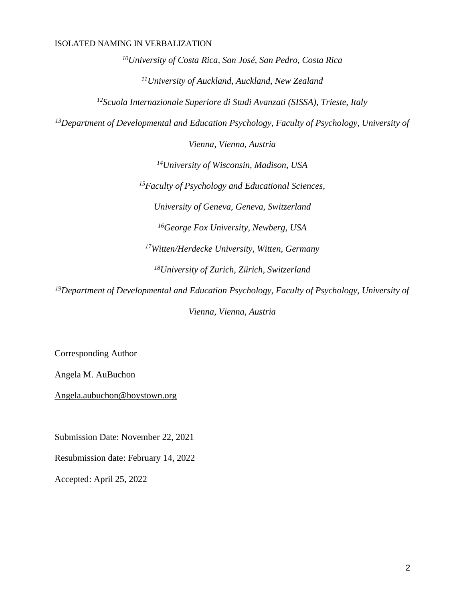*<sup>10</sup>University of Costa Rica, San José, San Pedro, Costa Rica <sup>11</sup>University of Auckland, Auckland, New Zealand*

*<sup>12</sup>Scuola Internazionale Superiore di Studi Avanzati (SISSA), Trieste, Italy*

*<sup>13</sup>Department of Developmental and Education Psychology, Faculty of Psychology, University of* 

*Vienna, Vienna, Austria*

*<sup>14</sup>University of Wisconsin, Madison, USA*

*<sup>15</sup>Faculty of Psychology and Educational Sciences,*

*University of Geneva, Geneva, Switzerland*

*<sup>16</sup>George Fox University, Newberg, USA*

*<sup>17</sup>Witten/Herdecke University, Witten, Germany*

*<sup>18</sup>University of Zurich, Zürich, Switzerland*

*<sup>19</sup>Department of Developmental and Education Psychology, Faculty of Psychology, University of Vienna, Vienna, Austria*

Corresponding Author

Angela M. AuBuchon

[Angela.aubuchon@boystown.org](mailto:Angela.aubuchon@boystown.org)

Submission Date: November 22, 2021

Resubmission date: February 14, 2022

Accepted: April 25, 2022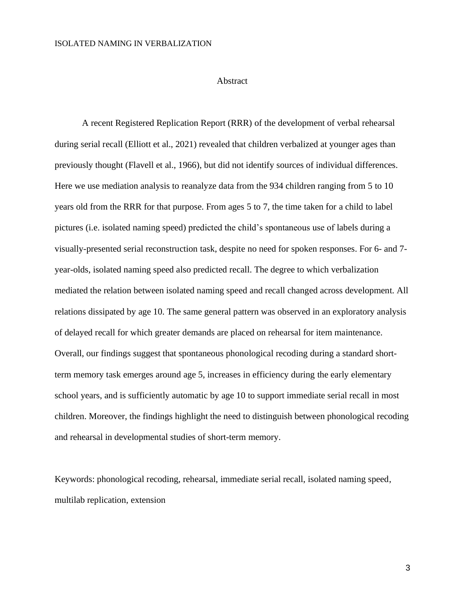#### Abstract

A recent Registered Replication Report (RRR) of the development of verbal rehearsal during serial recall (Elliott et al., 2021) revealed that children verbalized at younger ages than previously thought (Flavell et al., 1966), but did not identify sources of individual differences. Here we use mediation analysis to reanalyze data from the 934 children ranging from 5 to 10 years old from the RRR for that purpose. From ages 5 to 7, the time taken for a child to label pictures (i.e. isolated naming speed) predicted the child's spontaneous use of labels during a visually-presented serial reconstruction task, despite no need for spoken responses. For 6- and 7 year-olds, isolated naming speed also predicted recall. The degree to which verbalization mediated the relation between isolated naming speed and recall changed across development. All relations dissipated by age 10. The same general pattern was observed in an exploratory analysis of delayed recall for which greater demands are placed on rehearsal for item maintenance. Overall, our findings suggest that spontaneous phonological recoding during a standard shortterm memory task emerges around age 5, increases in efficiency during the early elementary school years, and is sufficiently automatic by age 10 to support immediate serial recall in most children. Moreover, the findings highlight the need to distinguish between phonological recoding and rehearsal in developmental studies of short-term memory.

Keywords: phonological recoding, rehearsal, immediate serial recall, isolated naming speed, multilab replication, extension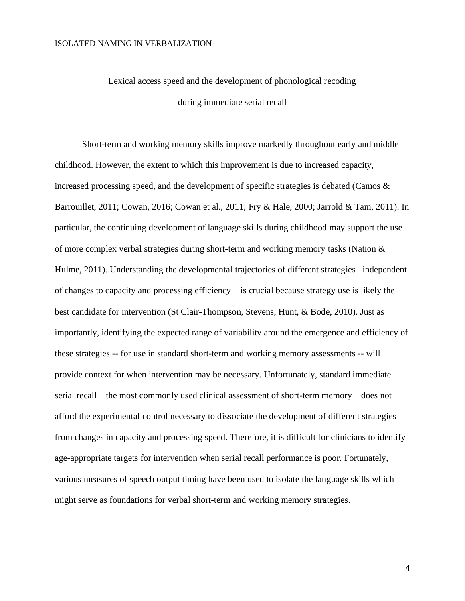# Lexical access speed and the development of phonological recoding during immediate serial recall

Short-term and working memory skills improve markedly throughout early and middle childhood. However, the extent to which this improvement is due to increased capacity, increased processing speed, and the development of specific strategies is debated (Camos  $\&$ Barrouillet, 2011; Cowan, 2016; Cowan et al., 2011; Fry & Hale, 2000; Jarrold & Tam, 2011). In particular, the continuing development of language skills during childhood may support the use of more complex verbal strategies during short-term and working memory tasks (Nation  $\&$ Hulme, 2011). Understanding the developmental trajectories of different strategies– independent of changes to capacity and processing efficiency – is crucial because strategy use is likely the best candidate for intervention (St Clair-Thompson, Stevens, Hunt, & Bode, 2010). Just as importantly, identifying the expected range of variability around the emergence and efficiency of these strategies -- for use in standard short-term and working memory assessments -- will provide context for when intervention may be necessary. Unfortunately, standard immediate serial recall – the most commonly used clinical assessment of short-term memory – does not afford the experimental control necessary to dissociate the development of different strategies from changes in capacity and processing speed. Therefore, it is difficult for clinicians to identify age-appropriate targets for intervention when serial recall performance is poor. Fortunately, various measures of speech output timing have been used to isolate the language skills which might serve as foundations for verbal short-term and working memory strategies.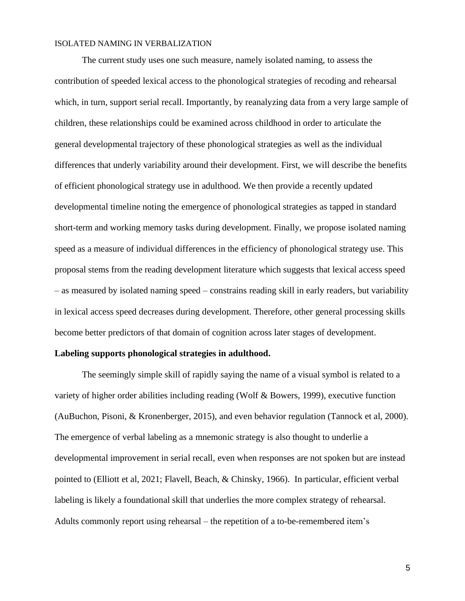The current study uses one such measure, namely isolated naming, to assess the contribution of speeded lexical access to the phonological strategies of recoding and rehearsal which, in turn, support serial recall. Importantly, by reanalyzing data from a very large sample of children, these relationships could be examined across childhood in order to articulate the general developmental trajectory of these phonological strategies as well as the individual differences that underly variability around their development. First, we will describe the benefits of efficient phonological strategy use in adulthood. We then provide a recently updated developmental timeline noting the emergence of phonological strategies as tapped in standard short-term and working memory tasks during development. Finally, we propose isolated naming speed as a measure of individual differences in the efficiency of phonological strategy use. This proposal stems from the reading development literature which suggests that lexical access speed – as measured by isolated naming speed – constrains reading skill in early readers, but variability in lexical access speed decreases during development. Therefore, other general processing skills become better predictors of that domain of cognition across later stages of development.

#### **Labeling supports phonological strategies in adulthood.**

The seemingly simple skill of rapidly saying the name of a visual symbol is related to a variety of higher order abilities including reading (Wolf & Bowers, 1999), executive function (AuBuchon, Pisoni, & Kronenberger, 2015), and even behavior regulation (Tannock et al, 2000). The emergence of verbal labeling as a mnemonic strategy is also thought to underlie a developmental improvement in serial recall, even when responses are not spoken but are instead pointed to (Elliott et al, 2021; Flavell, Beach, & Chinsky, 1966). In particular, efficient verbal labeling is likely a foundational skill that underlies the more complex strategy of rehearsal. Adults commonly report using rehearsal – the repetition of a to-be-remembered item's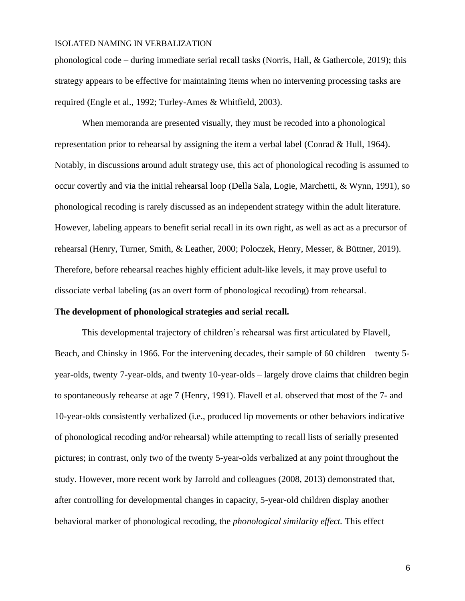phonological code – during immediate serial recall tasks (Norris, Hall,  $\&$  Gathercole, 2019); this strategy appears to be effective for maintaining items when no intervening processing tasks are required (Engle et al., 1992; Turley-Ames & Whitfield, 2003).

When memoranda are presented visually, they must be recoded into a phonological representation prior to rehearsal by assigning the item a verbal label (Conrad & Hull, 1964). Notably, in discussions around adult strategy use, this act of phonological recoding is assumed to occur covertly and via the initial rehearsal loop (Della Sala, Logie, Marchetti, & Wynn, 1991), so phonological recoding is rarely discussed as an independent strategy within the adult literature. However, labeling appears to benefit serial recall in its own right, as well as act as a precursor of rehearsal (Henry, Turner, Smith, & Leather, 2000; Poloczek, Henry, Messer, & Büttner, 2019). Therefore, before rehearsal reaches highly efficient adult-like levels, it may prove useful to dissociate verbal labeling (as an overt form of phonological recoding) from rehearsal.

#### **The development of phonological strategies and serial recall.**

This developmental trajectory of children's rehearsal was first articulated by Flavell, Beach, and Chinsky in 1966. For the intervening decades, their sample of 60 children – twenty 5 year-olds, twenty 7-year-olds, and twenty 10-year-olds – largely drove claims that children begin to spontaneously rehearse at age 7 (Henry, 1991). Flavell et al. observed that most of the 7- and 10-year-olds consistently verbalized (i.e., produced lip movements or other behaviors indicative of phonological recoding and/or rehearsal) while attempting to recall lists of serially presented pictures; in contrast, only two of the twenty 5-year-olds verbalized at any point throughout the study. However, more recent work by Jarrold and colleagues (2008, 2013) demonstrated that, after controlling for developmental changes in capacity, 5-year-old children display another behavioral marker of phonological recoding, the *phonological similarity effect.* This effect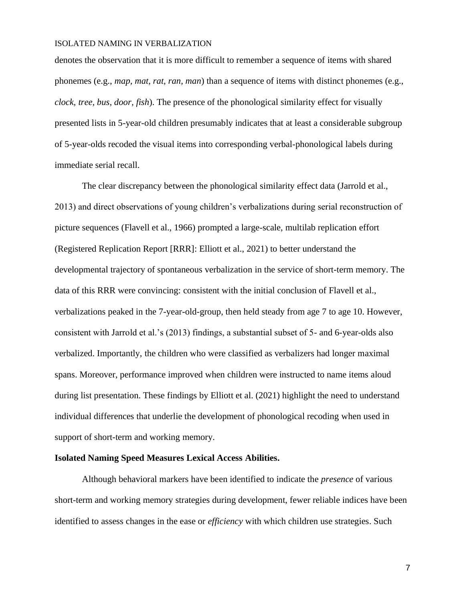denotes the observation that it is more difficult to remember a sequence of items with shared phonemes (e.g., *map, mat, rat, ran, man*) than a sequence of items with distinct phonemes (e.g., *clock, tree, bus, door, fish*). The presence of the phonological similarity effect for visually presented lists in 5-year-old children presumably indicates that at least a considerable subgroup of 5-year-olds recoded the visual items into corresponding verbal-phonological labels during immediate serial recall.

The clear discrepancy between the phonological similarity effect data (Jarrold et al., 2013) and direct observations of young children's verbalizations during serial reconstruction of picture sequences (Flavell et al., 1966) prompted a large-scale, multilab replication effort (Registered Replication Report [RRR]: Elliott et al., 2021) to better understand the developmental trajectory of spontaneous verbalization in the service of short-term memory. The data of this RRR were convincing: consistent with the initial conclusion of Flavell et al., verbalizations peaked in the 7-year-old-group, then held steady from age 7 to age 10. However, consistent with Jarrold et al.'s (2013) findings, a substantial subset of 5- and 6-year-olds also verbalized. Importantly, the children who were classified as verbalizers had longer maximal spans. Moreover, performance improved when children were instructed to name items aloud during list presentation. These findings by Elliott et al. (2021) highlight the need to understand individual differences that underlie the development of phonological recoding when used in support of short-term and working memory.

#### **Isolated Naming Speed Measures Lexical Access Abilities.**

Although behavioral markers have been identified to indicate the *presence* of various short-term and working memory strategies during development, fewer reliable indices have been identified to assess changes in the ease or *efficiency* with which children use strategies. Such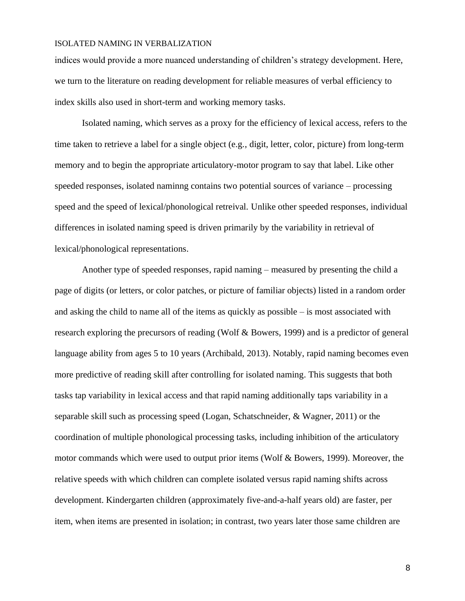indices would provide a more nuanced understanding of children's strategy development*.* Here, we turn to the literature on reading development for reliable measures of verbal efficiency to index skills also used in short-term and working memory tasks.

Isolated naming, which serves as a proxy for the efficiency of lexical access, refers to the time taken to retrieve a label for a single object (e.g., digit, letter, color, picture) from long-term memory and to begin the appropriate articulatory-motor program to say that label. Like other speeded responses, isolated naminng contains two potential sources of variance – processing speed and the speed of lexical/phonological retreival. Unlike other speeded responses, individual differences in isolated naming speed is driven primarily by the variability in retrieval of lexical/phonological representations.

Another type of speeded responses, rapid naming – measured by presenting the child a page of digits (or letters, or color patches, or picture of familiar objects) listed in a random order and asking the child to name all of the items as quickly as possible – is most associated with research exploring the precursors of reading (Wolf & Bowers, 1999) and is a predictor of general language ability from ages 5 to 10 years (Archibald, 2013). Notably, rapid naming becomes even more predictive of reading skill after controlling for isolated naming. This suggests that both tasks tap variability in lexical access and that rapid naming additionally taps variability in a separable skill such as processing speed (Logan, Schatschneider, & Wagner, 2011) or the coordination of multiple phonological processing tasks, including inhibition of the articulatory motor commands which were used to output prior items (Wolf & Bowers, 1999). Moreover, the relative speeds with which children can complete isolated versus rapid naming shifts across development. Kindergarten children (approximately five-and-a-half years old) are faster, per item, when items are presented in isolation; in contrast, two years later those same children are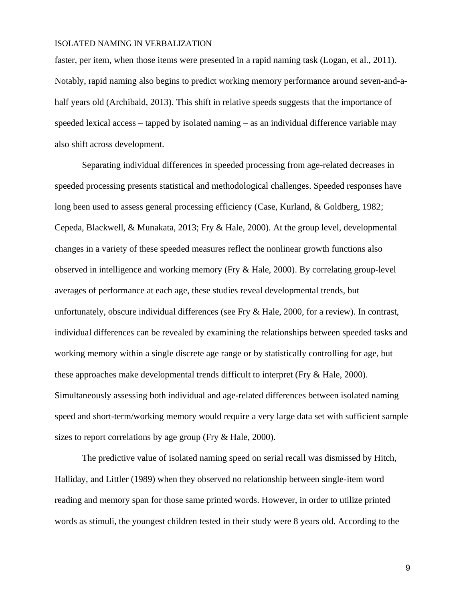faster, per item, when those items were presented in a rapid naming task (Logan, et al., 2011). Notably, rapid naming also begins to predict working memory performance around seven-and-ahalf years old (Archibald, 2013). This shift in relative speeds suggests that the importance of speeded lexical access – tapped by isolated naming – as an individual difference variable may also shift across development.

Separating individual differences in speeded processing from age-related decreases in speeded processing presents statistical and methodological challenges. Speeded responses have long been used to assess general processing efficiency (Case, Kurland, & Goldberg, 1982; Cepeda, Blackwell, & Munakata, 2013; Fry & Hale, 2000). At the group level, developmental changes in a variety of these speeded measures reflect the nonlinear growth functions also observed in intelligence and working memory (Fry & Hale, 2000). By correlating group-level averages of performance at each age, these studies reveal developmental trends, but unfortunately, obscure individual differences (see Fry & Hale, 2000, for a review). In contrast, individual differences can be revealed by examining the relationships between speeded tasks and working memory within a single discrete age range or by statistically controlling for age, but these approaches make developmental trends difficult to interpret (Fry & Hale, 2000). Simultaneously assessing both individual and age-related differences between isolated naming speed and short-term/working memory would require a very large data set with sufficient sample sizes to report correlations by age group (Fry & Hale, 2000).

The predictive value of isolated naming speed on serial recall was dismissed by Hitch, Halliday, and Littler (1989) when they observed no relationship between single-item word reading and memory span for those same printed words. However, in order to utilize printed words as stimuli, the youngest children tested in their study were 8 years old. According to the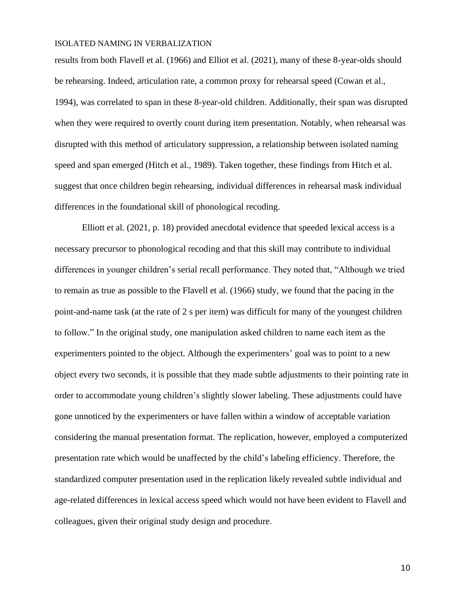results from both Flavell et al. (1966) and Elliot et al. (2021), many of these 8-year-olds should be rehearsing. Indeed, articulation rate, a common proxy for rehearsal speed (Cowan et al., 1994), was correlated to span in these 8-year-old children. Additionally, their span was disrupted when they were required to overtly count during item presentation. Notably, when rehearsal was disrupted with this method of articulatory suppression, a relationship between isolated naming speed and span emerged (Hitch et al., 1989). Taken together, these findings from Hitch et al. suggest that once children begin rehearsing, individual differences in rehearsal mask individual differences in the foundational skill of phonological recoding.

Elliott et al. (2021, p. 18) provided anecdotal evidence that speeded lexical access is a necessary precursor to phonological recoding and that this skill may contribute to individual differences in younger children's serial recall performance. They noted that, "Although we tried to remain as true as possible to the [Flavell et al. \(1966\)](https://journals.sagepub.com/doi/full/10.1177/25152459211018187) study, we found that the pacing in the point-and-name task (at the rate of 2 s per item) was difficult for many of the youngest children to follow." In the original study, one manipulation asked children to name each item as the experimenters pointed to the object. Although the experimenters' goal was to point to a new object every two seconds, it is possible that they made subtle adjustments to their pointing rate in order to accommodate young children's slightly slower labeling. These adjustments could have gone unnoticed by the experimenters or have fallen within a window of acceptable variation considering the manual presentation format. The replication, however, employed a computerized presentation rate which would be unaffected by the child's labeling efficiency. Therefore, the standardized computer presentation used in the replication likely revealed subtle individual and age-related differences in lexical access speed which would not have been evident to Flavell and colleagues, given their original study design and procedure.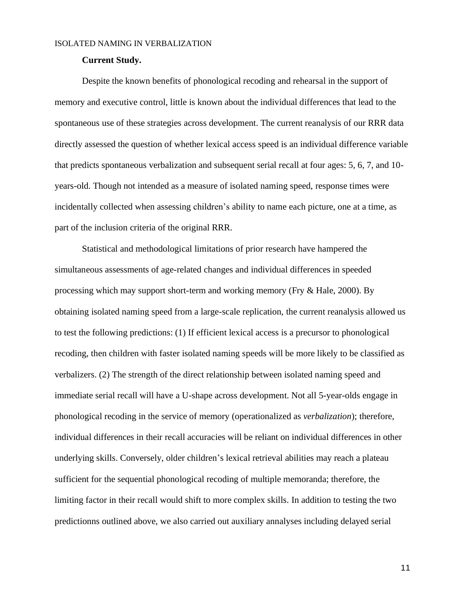#### **Current Study.**

Despite the known benefits of phonological recoding and rehearsal in the support of memory and executive control, little is known about the individual differences that lead to the spontaneous use of these strategies across development. The current reanalysis of our RRR data directly assessed the question of whether lexical access speed is an individual difference variable that predicts spontaneous verbalization and subsequent serial recall at four ages: 5, 6, 7, and 10 years-old. Though not intended as a measure of isolated naming speed, response times were incidentally collected when assessing children's ability to name each picture, one at a time, as part of the inclusion criteria of the original RRR.

Statistical and methodological limitations of prior research have hampered the simultaneous assessments of age-related changes and individual differences in speeded processing which may support short-term and working memory (Fry & Hale, 2000). By obtaining isolated naming speed from a large-scale replication, the current reanalysis allowed us to test the following predictions: (1) If efficient lexical access is a precursor to phonological recoding, then children with faster isolated naming speeds will be more likely to be classified as verbalizers. (2) The strength of the direct relationship between isolated naming speed and immediate serial recall will have a U-shape across development. Not all 5-year-olds engage in phonological recoding in the service of memory (operationalized as *verbalization*); therefore, individual differences in their recall accuracies will be reliant on individual differences in other underlying skills. Conversely, older children's lexical retrieval abilities may reach a plateau sufficient for the sequential phonological recoding of multiple memoranda; therefore, the limiting factor in their recall would shift to more complex skills. In addition to testing the two predictionns outlined above, we also carried out auxiliary annalyses including delayed serial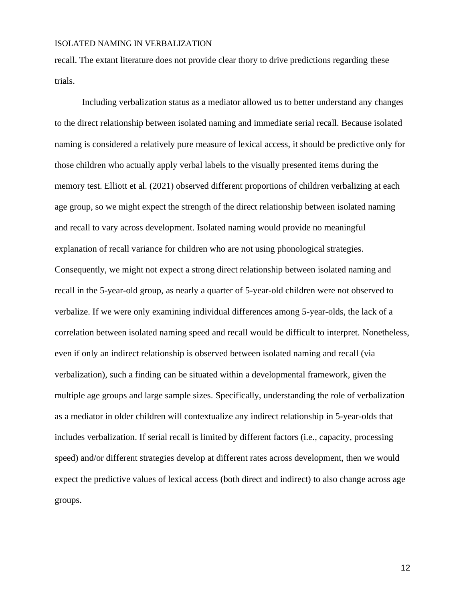recall. The extant literature does not provide clear thory to drive predictions regarding these trials.

Including verbalization status as a mediator allowed us to better understand any changes to the direct relationship between isolated naming and immediate serial recall. Because isolated naming is considered a relatively pure measure of lexical access, it should be predictive only for those children who actually apply verbal labels to the visually presented items during the memory test. Elliott et al. (2021) observed different proportions of children verbalizing at each age group, so we might expect the strength of the direct relationship between isolated naming and recall to vary across development. Isolated naming would provide no meaningful explanation of recall variance for children who are not using phonological strategies. Consequently, we might not expect a strong direct relationship between isolated naming and recall in the 5-year-old group, as nearly a quarter of 5-year-old children were not observed to verbalize. If we were only examining individual differences among 5-year-olds, the lack of a correlation between isolated naming speed and recall would be difficult to interpret. Nonetheless, even if only an indirect relationship is observed between isolated naming and recall (via verbalization), such a finding can be situated within a developmental framework, given the multiple age groups and large sample sizes. Specifically, understanding the role of verbalization as a mediator in older children will contextualize any indirect relationship in 5-year-olds that includes verbalization. If serial recall is limited by different factors (i.e., capacity, processing speed) and/or different strategies develop at different rates across development, then we would expect the predictive values of lexical access (both direct and indirect) to also change across age groups.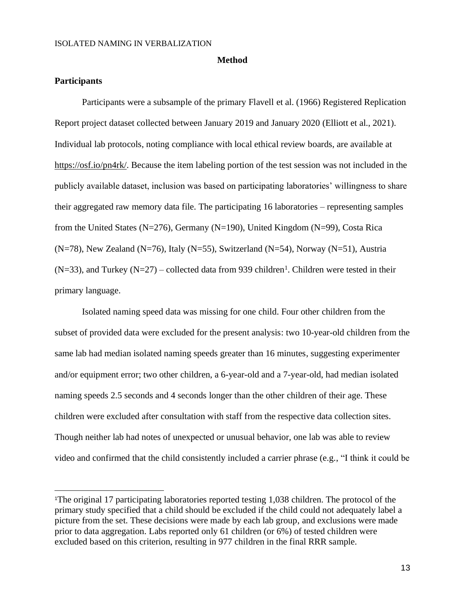#### **Method**

## **Participants**

Participants were a subsample of the primary Flavell et al. (1966) Registered Replication Report project dataset collected between January 2019 and January 2020 (Elliott et al., 2021). Individual lab protocols, noting compliance with local ethical review boards, are available at [https://osf.io/pn4rk/.](https://osf.io/pn4rk/) Because the item labeling portion of the test session was not included in the publicly available dataset, inclusion was based on participating laboratories' willingness to share their aggregated raw memory data file. The participating 16 laboratories – representing samples from the United States (N=276), Germany (N=190), United Kingdom (N=99), Costa Rica  $(N=78)$ , New Zealand (N=76), Italy (N=55), Switzerland (N=54), Norway (N=51), Austria  $(N=33)$ , and Turkey  $(N=27)$  – collected data from 939 children<sup>1</sup>. Children were tested in their primary language.

Isolated naming speed data was missing for one child. Four other children from the subset of provided data were excluded for the present analysis: two 10-year-old children from the same lab had median isolated naming speeds greater than 16 minutes, suggesting experimenter and/or equipment error; two other children, a 6-year-old and a 7-year-old, had median isolated naming speeds 2.5 seconds and 4 seconds longer than the other children of their age. These children were excluded after consultation with staff from the respective data collection sites. Though neither lab had notes of unexpected or unusual behavior, one lab was able to review video and confirmed that the child consistently included a carrier phrase (e.g., "I think it could be

<sup>1</sup>The original 17 participating laboratories reported testing 1,038 children. The protocol of the primary study specified that a child should be excluded if the child could not adequately label a picture from the set. These decisions were made by each lab group, and exclusions were made prior to data aggregation. Labs reported only 61 children (or 6%) of tested children were excluded based on this criterion, resulting in 977 children in the final RRR sample.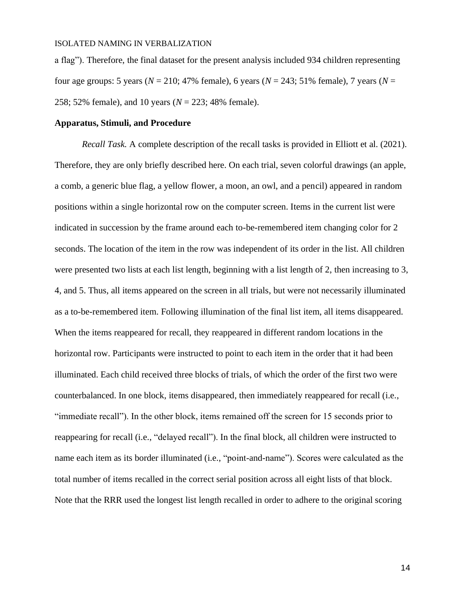a flag"). Therefore, the final dataset for the present analysis included 934 children representing four age groups: 5 years (*N* = 210; 47% female), 6 years (*N* = 243; 51% female), 7 years (*N* = 258; 52% female), and 10 years (*N* = 223; 48% female).

#### **Apparatus, Stimuli, and Procedure**

*Recall Task.* A complete description of the recall tasks is provided in Elliott et al. (2021). Therefore, they are only briefly described here. On each trial, seven colorful drawings (an apple, a comb, a generic blue flag, a yellow flower, a moon, an owl, and a pencil) appeared in random positions within a single horizontal row on the computer screen. Items in the current list were indicated in succession by the frame around each to-be-remembered item changing color for 2 seconds. The location of the item in the row was independent of its order in the list. All children were presented two lists at each list length, beginning with a list length of 2, then increasing to 3, 4, and 5. Thus, all items appeared on the screen in all trials, but were not necessarily illuminated as a to-be-remembered item. Following illumination of the final list item, all items disappeared. When the items reappeared for recall, they reappeared in different random locations in the horizontal row. Participants were instructed to point to each item in the order that it had been illuminated. Each child received three blocks of trials, of which the order of the first two were counterbalanced. In one block, items disappeared, then immediately reappeared for recall (i.e., "immediate recall"). In the other block, items remained off the screen for 15 seconds prior to reappearing for recall (i.e., "delayed recall"). In the final block, all children were instructed to name each item as its border illuminated (i.e., "point-and-name"). Scores were calculated as the total number of items recalled in the correct serial position across all eight lists of that block. Note that the RRR used the longest list length recalled in order to adhere to the original scoring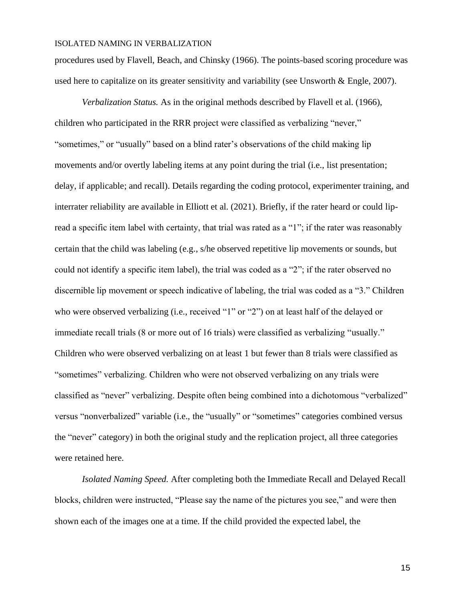procedures used by Flavell, Beach, and Chinsky (1966). The points-based scoring procedure was used here to capitalize on its greater sensitivity and variability (see Unsworth & Engle, 2007).

*Verbalization Status.* As in the original methods described by Flavell et al. (1966), children who participated in the RRR project were classified as verbalizing "never," "sometimes," or "usually" based on a blind rater's observations of the child making lip movements and/or overtly labeling items at any point during the trial (i.e., list presentation; delay, if applicable; and recall). Details regarding the coding protocol, experimenter training, and interrater reliability are available in Elliott et al. (2021). Briefly, if the rater heard or could lipread a specific item label with certainty, that trial was rated as a "1"; if the rater was reasonably certain that the child was labeling (e.g., s/he observed repetitive lip movements or sounds, but could not identify a specific item label), the trial was coded as a "2"; if the rater observed no discernible lip movement or speech indicative of labeling, the trial was coded as a "3." Children who were observed verbalizing (i.e., received "1" or "2") on at least half of the delayed or immediate recall trials (8 or more out of 16 trials) were classified as verbalizing "usually." Children who were observed verbalizing on at least 1 but fewer than 8 trials were classified as "sometimes" verbalizing. Children who were not observed verbalizing on any trials were classified as "never" verbalizing. Despite often being combined into a dichotomous "verbalized" versus "nonverbalized" variable (i.e., the "usually" or "sometimes" categories combined versus the "never" category) in both the original study and the replication project, all three categories were retained here.

*Isolated Naming Speed.* After completing both the Immediate Recall and Delayed Recall blocks, children were instructed, "Please say the name of the pictures you see," and were then shown each of the images one at a time. If the child provided the expected label, the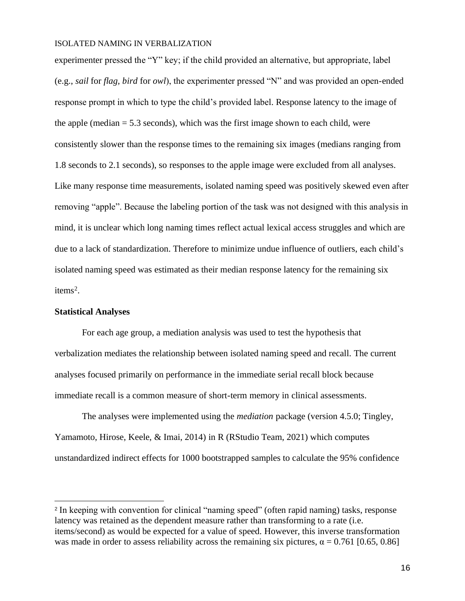experimenter pressed the "Y" key; if the child provided an alternative, but appropriate, label (e.g., *sail* for *flag, bird* for *owl*), the experimenter pressed "N" and was provided an open-ended response prompt in which to type the child's provided label. Response latency to the image of the apple (median  $= 5.3$  seconds), which was the first image shown to each child, were consistently slower than the response times to the remaining six images (medians ranging from 1.8 seconds to 2.1 seconds), so responses to the apple image were excluded from all analyses. Like many response time measurements, isolated naming speed was positively skewed even after removing "apple". Because the labeling portion of the task was not designed with this analysis in mind, it is unclear which long naming times reflect actual lexical access struggles and which are due to a lack of standardization. Therefore to minimize undue influence of outliers, each child's isolated naming speed was estimated as their median response latency for the remaining six items<sup>2</sup>.

#### **Statistical Analyses**

For each age group, a mediation analysis was used to test the hypothesis that verbalization mediates the relationship between isolated naming speed and recall. The current analyses focused primarily on performance in the immediate serial recall block because immediate recall is a common measure of short-term memory in clinical assessments.

The analyses were implemented using the *mediation* package (version 4.5.0; Tingley, Yamamoto, Hirose, Keele, & Imai, 2014) in R (RStudio Team, 2021) which computes unstandardized indirect effects for 1000 bootstrapped samples to calculate the 95% confidence

<sup>2</sup> In keeping with convention for clinical "naming speed" (often rapid naming) tasks, response latency was retained as the dependent measure rather than transforming to a rate (i.e. items/second) as would be expected for a value of speed. However, this inverse transformation was made in order to assess reliability across the remaining six pictures,  $\alpha = 0.761$  [0.65, 0.86]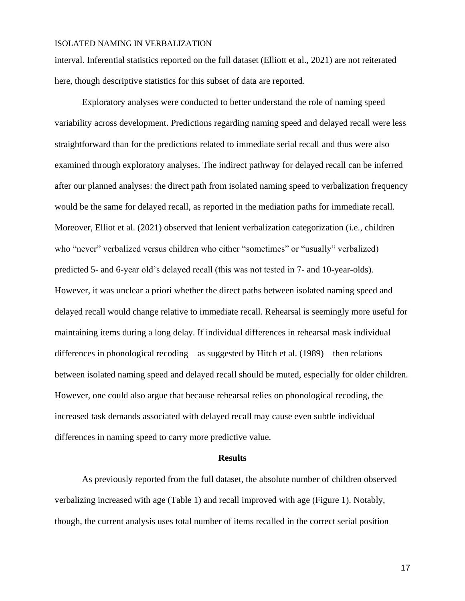interval. Inferential statistics reported on the full dataset (Elliott et al., 2021) are not reiterated here, though descriptive statistics for this subset of data are reported.

Exploratory analyses were conducted to better understand the role of naming speed variability across development. Predictions regarding naming speed and delayed recall were less straightforward than for the predictions related to immediate serial recall and thus were also examined through exploratory analyses. The indirect pathway for delayed recall can be inferred after our planned analyses: the direct path from isolated naming speed to verbalization frequency would be the same for delayed recall, as reported in the mediation paths for immediate recall. Moreover, Elliot et al. (2021) observed that lenient verbalization categorization (i.e., children who "never" verbalized versus children who either "sometimes" or "usually" verbalized) predicted 5- and 6-year old's delayed recall (this was not tested in 7- and 10-year-olds). However, it was unclear a priori whether the direct paths between isolated naming speed and delayed recall would change relative to immediate recall. Rehearsal is seemingly more useful for maintaining items during a long delay. If individual differences in rehearsal mask individual differences in phonological recoding – as suggested by Hitch et al. (1989) – then relations between isolated naming speed and delayed recall should be muted, especially for older children. However, one could also argue that because rehearsal relies on phonological recoding, the increased task demands associated with delayed recall may cause even subtle individual differences in naming speed to carry more predictive value.

#### **Results**

As previously reported from the full dataset, the absolute number of children observed verbalizing increased with age (Table 1) and recall improved with age (Figure 1). Notably, though, the current analysis uses total number of items recalled in the correct serial position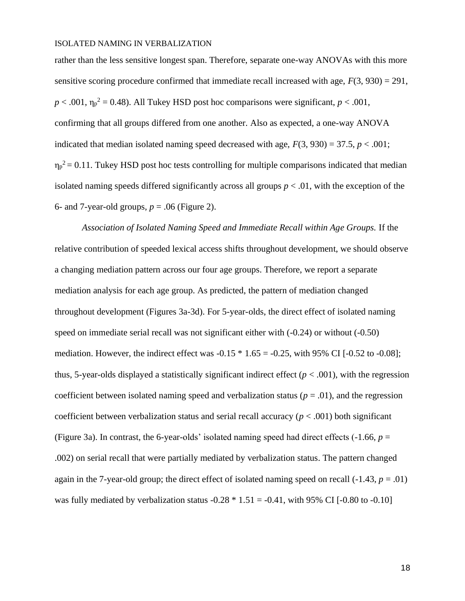rather than the less sensitive longest span. Therefore, separate one-way ANOVAs with this more sensitive scoring procedure confirmed that immediate recall increased with age,  $F(3, 930) = 291$ ,  $p < .001$ ,  $\eta_p^2 = 0.48$ ). All Tukey HSD post hoc comparisons were significant,  $p < .001$ , confirming that all groups differed from one another. Also as expected, a one-way ANOVA indicated that median isolated naming speed decreased with age,  $F(3, 930) = 37.5$ ,  $p < .001$ ;  $\eta_p^2$  = 0.11. Tukey HSD post hoc tests controlling for multiple comparisons indicated that median isolated naming speeds differed significantly across all groups  $p < .01$ , with the exception of the 6- and 7-year-old groups,  $p = .06$  (Figure 2).

*Association of Isolated Naming Speed and Immediate Recall within Age Groups.* If the relative contribution of speeded lexical access shifts throughout development, we should observe a changing mediation pattern across our four age groups. Therefore, we report a separate mediation analysis for each age group. As predicted, the pattern of mediation changed throughout development (Figures 3a-3d). For 5-year-olds, the direct effect of isolated naming speed on immediate serial recall was not significant either with (-0.24) or without (-0.50) mediation. However, the indirect effect was  $-0.15 * 1.65 = -0.25$ , with 95% CI [ $-0.52$  to  $-0.08$ ]; thus, 5-year-olds displayed a statistically significant indirect effect  $(p < .001)$ , with the regression coefficient between isolated naming speed and verbalization status ( $p = .01$ ), and the regression coefficient between verbalization status and serial recall accuracy ( $p < .001$ ) both significant (Figure 3a). In contrast, the 6-year-olds' isolated naming speed had direct effects  $(-1.66, p =$ .002) on serial recall that were partially mediated by verbalization status. The pattern changed again in the 7-year-old group; the direct effect of isolated naming speed on recall  $(-1.43, p = .01)$ was fully mediated by verbalization status  $-0.28 * 1.51 = -0.41$ , with 95% CI [ $-0.80$  to  $-0.10$ ]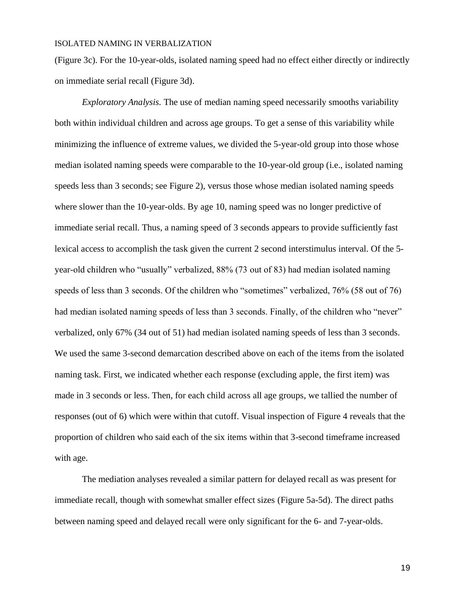(Figure 3c). For the 10-year-olds, isolated naming speed had no effect either directly or indirectly on immediate serial recall (Figure 3d).

*Exploratory Analysis.* The use of median naming speed necessarily smooths variability both within individual children and across age groups. To get a sense of this variability while minimizing the influence of extreme values, we divided the 5-year-old group into those whose median isolated naming speeds were comparable to the 10-year-old group (i.e., isolated naming speeds less than 3 seconds; see Figure 2), versus those whose median isolated naming speeds where slower than the 10-year-olds. By age 10, naming speed was no longer predictive of immediate serial recall. Thus, a naming speed of 3 seconds appears to provide sufficiently fast lexical access to accomplish the task given the current 2 second interstimulus interval. Of the 5 year-old children who "usually" verbalized, 88% (73 out of 83) had median isolated naming speeds of less than 3 seconds. Of the children who "sometimes" verbalized, 76% (58 out of 76) had median isolated naming speeds of less than 3 seconds. Finally, of the children who "never" verbalized, only 67% (34 out of 51) had median isolated naming speeds of less than 3 seconds. We used the same 3-second demarcation described above on each of the items from the isolated naming task. First, we indicated whether each response (excluding apple, the first item) was made in 3 seconds or less. Then, for each child across all age groups, we tallied the number of responses (out of 6) which were within that cutoff. Visual inspection of Figure 4 reveals that the proportion of children who said each of the six items within that 3-second timeframe increased with age.

The mediation analyses revealed a similar pattern for delayed recall as was present for immediate recall, though with somewhat smaller effect sizes (Figure 5a-5d). The direct paths between naming speed and delayed recall were only significant for the 6- and 7-year-olds.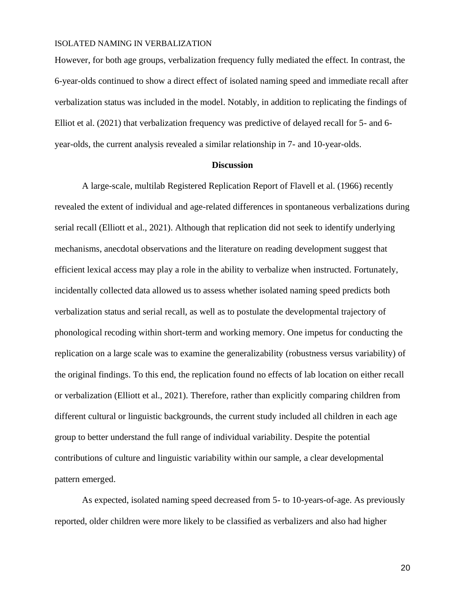However, for both age groups, verbalization frequency fully mediated the effect. In contrast, the 6-year-olds continued to show a direct effect of isolated naming speed and immediate recall after verbalization status was included in the model. Notably, in addition to replicating the findings of Elliot et al. (2021) that verbalization frequency was predictive of delayed recall for 5- and 6 year-olds, the current analysis revealed a similar relationship in 7- and 10-year-olds.

#### **Discussion**

A large-scale, multilab Registered Replication Report of Flavell et al. (1966) recently revealed the extent of individual and age-related differences in spontaneous verbalizations during serial recall (Elliott et al., 2021). Although that replication did not seek to identify underlying mechanisms, anecdotal observations and the literature on reading development suggest that efficient lexical access may play a role in the ability to verbalize when instructed. Fortunately, incidentally collected data allowed us to assess whether isolated naming speed predicts both verbalization status and serial recall, as well as to postulate the developmental trajectory of phonological recoding within short-term and working memory. One impetus for conducting the replication on a large scale was to examine the generalizability (robustness versus variability) of the original findings. To this end, the replication found no effects of lab location on either recall or verbalization (Elliott et al., 2021). Therefore, rather than explicitly comparing children from different cultural or linguistic backgrounds, the current study included all children in each age group to better understand the full range of individual variability. Despite the potential contributions of culture and linguistic variability within our sample, a clear developmental pattern emerged.

As expected, isolated naming speed decreased from 5- to 10-years-of-age. As previously reported, older children were more likely to be classified as verbalizers and also had higher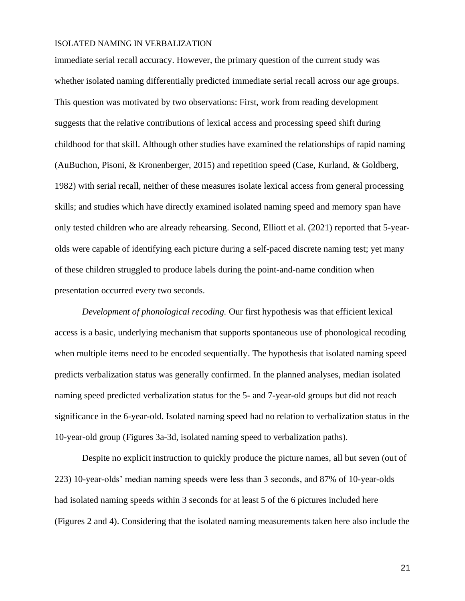immediate serial recall accuracy. However, the primary question of the current study was whether isolated naming differentially predicted immediate serial recall across our age groups. This question was motivated by two observations: First, work from reading development suggests that the relative contributions of lexical access and processing speed shift during childhood for that skill. Although other studies have examined the relationships of rapid naming (AuBuchon, Pisoni, & Kronenberger, 2015) and repetition speed (Case, Kurland, & Goldberg, 1982) with serial recall, neither of these measures isolate lexical access from general processing skills; and studies which have directly examined isolated naming speed and memory span have only tested children who are already rehearsing. Second, Elliott et al. (2021) reported that 5-yearolds were capable of identifying each picture during a self-paced discrete naming test; yet many of these children struggled to produce labels during the point-and-name condition when presentation occurred every two seconds.

*Development of phonological recoding.* Our first hypothesis was that efficient lexical access is a basic, underlying mechanism that supports spontaneous use of phonological recoding when multiple items need to be encoded sequentially. The hypothesis that isolated naming speed predicts verbalization status was generally confirmed. In the planned analyses, median isolated naming speed predicted verbalization status for the 5- and 7-year-old groups but did not reach significance in the 6-year-old. Isolated naming speed had no relation to verbalization status in the 10-year-old group (Figures 3a-3d, isolated naming speed to verbalization paths).

Despite no explicit instruction to quickly produce the picture names, all but seven (out of 223) 10-year-olds' median naming speeds were less than 3 seconds, and 87% of 10-year-olds had isolated naming speeds within 3 seconds for at least 5 of the 6 pictures included here (Figures 2 and 4). Considering that the isolated naming measurements taken here also include the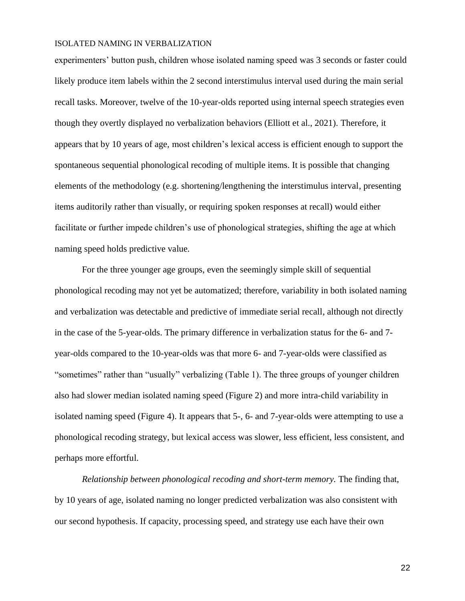experimenters' button push, children whose isolated naming speed was 3 seconds or faster could likely produce item labels within the 2 second interstimulus interval used during the main serial recall tasks. Moreover, twelve of the 10-year-olds reported using internal speech strategies even though they overtly displayed no verbalization behaviors (Elliott et al., 2021). Therefore, it appears that by 10 years of age, most children's lexical access is efficient enough to support the spontaneous sequential phonological recoding of multiple items. It is possible that changing elements of the methodology (e.g. shortening/lengthening the interstimulus interval, presenting items auditorily rather than visually, or requiring spoken responses at recall) would either facilitate or further impede children's use of phonological strategies, shifting the age at which naming speed holds predictive value.

For the three younger age groups, even the seemingly simple skill of sequential phonological recoding may not yet be automatized; therefore, variability in both isolated naming and verbalization was detectable and predictive of immediate serial recall, although not directly in the case of the 5-year-olds. The primary difference in verbalization status for the 6- and 7 year-olds compared to the 10-year-olds was that more 6- and 7-year-olds were classified as "sometimes" rather than "usually" verbalizing (Table 1). The three groups of younger children also had slower median isolated naming speed (Figure 2) and more intra-child variability in isolated naming speed (Figure 4). It appears that 5-, 6- and 7-year-olds were attempting to use a phonological recoding strategy, but lexical access was slower, less efficient, less consistent, and perhaps more effortful.

*Relationship between phonological recoding and short-term memory.* The finding that, by 10 years of age, isolated naming no longer predicted verbalization was also consistent with our second hypothesis. If capacity, processing speed, and strategy use each have their own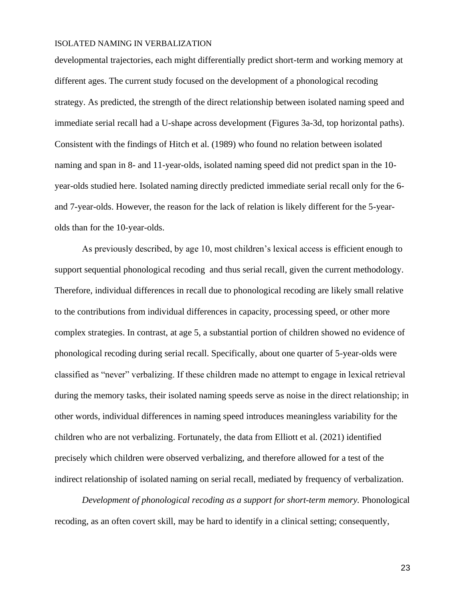developmental trajectories, each might differentially predict short-term and working memory at different ages. The current study focused on the development of a phonological recoding strategy. As predicted, the strength of the direct relationship between isolated naming speed and immediate serial recall had a U-shape across development (Figures 3a-3d, top horizontal paths). Consistent with the findings of Hitch et al. (1989) who found no relation between isolated naming and span in 8- and 11-year-olds, isolated naming speed did not predict span in the 10 year-olds studied here. Isolated naming directly predicted immediate serial recall only for the 6 and 7-year-olds. However, the reason for the lack of relation is likely different for the 5-yearolds than for the 10-year-olds.

As previously described, by age 10, most children's lexical access is efficient enough to support sequential phonological recoding and thus serial recall, given the current methodology. Therefore, individual differences in recall due to phonological recoding are likely small relative to the contributions from individual differences in capacity, processing speed, or other more complex strategies. In contrast, at age 5, a substantial portion of children showed no evidence of phonological recoding during serial recall. Specifically, about one quarter of 5-year-olds were classified as "never" verbalizing. If these children made no attempt to engage in lexical retrieval during the memory tasks, their isolated naming speeds serve as noise in the direct relationship; in other words, individual differences in naming speed introduces meaningless variability for the children who are not verbalizing. Fortunately, the data from Elliott et al. (2021) identified precisely which children were observed verbalizing, and therefore allowed for a test of the indirect relationship of isolated naming on serial recall, mediated by frequency of verbalization.

*Development of phonological recoding as a support for short-term memory.* Phonological recoding, as an often covert skill, may be hard to identify in a clinical setting; consequently,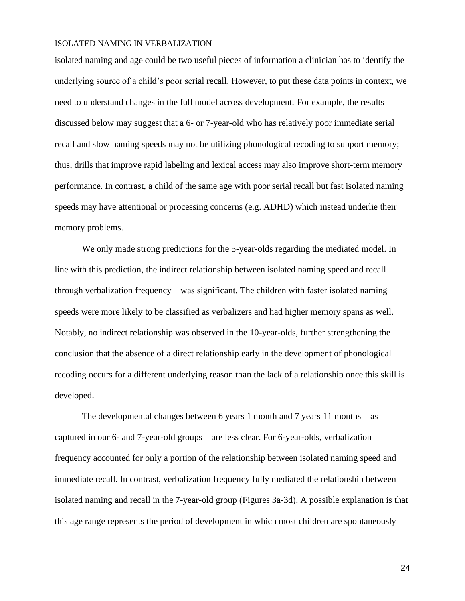isolated naming and age could be two useful pieces of information a clinician has to identify the underlying source of a child's poor serial recall. However, to put these data points in context, we need to understand changes in the full model across development. For example, the results discussed below may suggest that a 6- or 7-year-old who has relatively poor immediate serial recall and slow naming speeds may not be utilizing phonological recoding to support memory; thus, drills that improve rapid labeling and lexical access may also improve short-term memory performance. In contrast, a child of the same age with poor serial recall but fast isolated naming speeds may have attentional or processing concerns (e.g. ADHD) which instead underlie their memory problems.

We only made strong predictions for the 5-year-olds regarding the mediated model. In line with this prediction, the indirect relationship between isolated naming speed and recall – through verbalization frequency – was significant. The children with faster isolated naming speeds were more likely to be classified as verbalizers and had higher memory spans as well. Notably, no indirect relationship was observed in the 10-year-olds, further strengthening the conclusion that the absence of a direct relationship early in the development of phonological recoding occurs for a different underlying reason than the lack of a relationship once this skill is developed.

The developmental changes between 6 years 1 month and 7 years 11 months – as captured in our 6- and 7-year-old groups – are less clear. For 6-year-olds, verbalization frequency accounted for only a portion of the relationship between isolated naming speed and immediate recall. In contrast, verbalization frequency fully mediated the relationship between isolated naming and recall in the 7-year-old group (Figures 3a-3d). A possible explanation is that this age range represents the period of development in which most children are spontaneously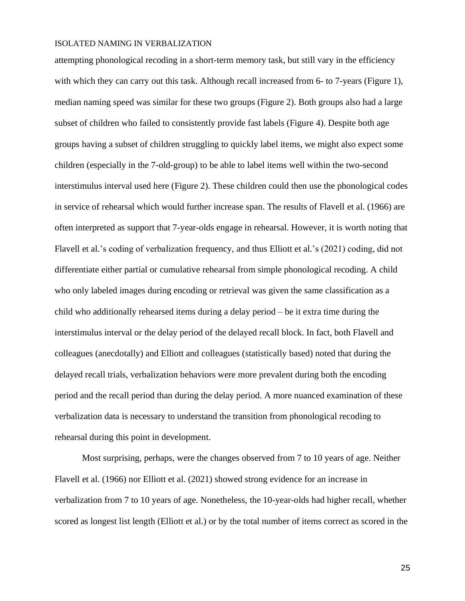attempting phonological recoding in a short-term memory task, but still vary in the efficiency with which they can carry out this task. Although recall increased from 6- to 7-years (Figure 1), median naming speed was similar for these two groups (Figure 2). Both groups also had a large subset of children who failed to consistently provide fast labels (Figure 4). Despite both age groups having a subset of children struggling to quickly label items, we might also expect some children (especially in the 7-old-group) to be able to label items well within the two-second interstimulus interval used here (Figure 2). These children could then use the phonological codes in service of rehearsal which would further increase span. The results of Flavell et al. (1966) are often interpreted as support that 7-year-olds engage in rehearsal. However, it is worth noting that Flavell et al.'s coding of verbalization frequency, and thus Elliott et al.'s (2021) coding, did not differentiate either partial or cumulative rehearsal from simple phonological recoding. A child who only labeled images during encoding or retrieval was given the same classification as a child who additionally rehearsed items during a delay period – be it extra time during the interstimulus interval or the delay period of the delayed recall block. In fact, both Flavell and colleagues (anecdotally) and Elliott and colleagues (statistically based) noted that during the delayed recall trials, verbalization behaviors were more prevalent during both the encoding period and the recall period than during the delay period. A more nuanced examination of these verbalization data is necessary to understand the transition from phonological recoding to rehearsal during this point in development.

Most surprising, perhaps, were the changes observed from 7 to 10 years of age. Neither Flavell et al. (1966) nor Elliott et al. (2021) showed strong evidence for an increase in verbalization from 7 to 10 years of age. Nonetheless, the 10-year-olds had higher recall, whether scored as longest list length (Elliott et al.) or by the total number of items correct as scored in the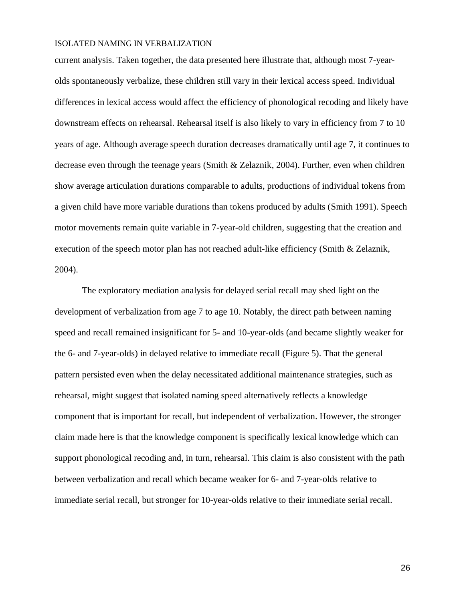current analysis. Taken together, the data presented here illustrate that, although most 7-yearolds spontaneously verbalize, these children still vary in their lexical access speed. Individual differences in lexical access would affect the efficiency of phonological recoding and likely have downstream effects on rehearsal. Rehearsal itself is also likely to vary in efficiency from 7 to 10 years of age. Although average speech duration decreases dramatically until age 7, it continues to decrease even through the teenage years (Smith & Zelaznik, 2004). Further, even when children show average articulation durations comparable to adults, productions of individual tokens from a given child have more variable durations than tokens produced by adults (Smith 1991). Speech motor movements remain quite variable in 7-year-old children, suggesting that the creation and execution of the speech motor plan has not reached adult-like efficiency (Smith & Zelaznik, 2004).

The exploratory mediation analysis for delayed serial recall may shed light on the development of verbalization from age 7 to age 10. Notably, the direct path between naming speed and recall remained insignificant for 5- and 10-year-olds (and became slightly weaker for the 6- and 7-year-olds) in delayed relative to immediate recall (Figure 5). That the general pattern persisted even when the delay necessitated additional maintenance strategies, such as rehearsal, might suggest that isolated naming speed alternatively reflects a knowledge component that is important for recall, but independent of verbalization. However, the stronger claim made here is that the knowledge component is specifically lexical knowledge which can support phonological recoding and, in turn, rehearsal. This claim is also consistent with the path between verbalization and recall which became weaker for 6- and 7-year-olds relative to immediate serial recall, but stronger for 10-year-olds relative to their immediate serial recall.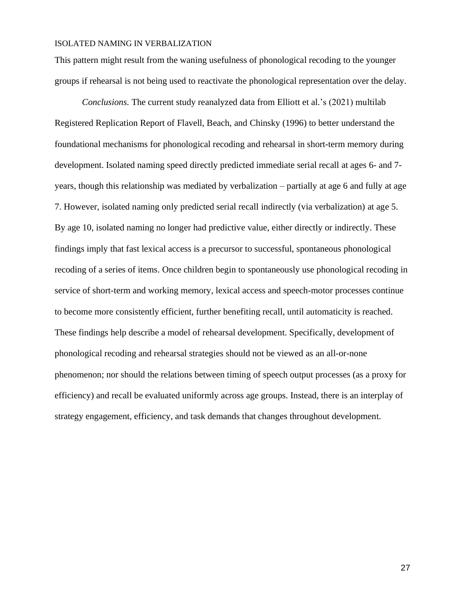This pattern might result from the waning usefulness of phonological recoding to the younger groups if rehearsal is not being used to reactivate the phonological representation over the delay.

*Conclusions.* The current study reanalyzed data from Elliott et al.'s (2021) multilab Registered Replication Report of Flavell, Beach, and Chinsky (1996) to better understand the foundational mechanisms for phonological recoding and rehearsal in short-term memory during development. Isolated naming speed directly predicted immediate serial recall at ages 6- and 7 years, though this relationship was mediated by verbalization – partially at age 6 and fully at age 7. However, isolated naming only predicted serial recall indirectly (via verbalization) at age 5. By age 10, isolated naming no longer had predictive value, either directly or indirectly. These findings imply that fast lexical access is a precursor to successful, spontaneous phonological recoding of a series of items. Once children begin to spontaneously use phonological recoding in service of short-term and working memory, lexical access and speech-motor processes continue to become more consistently efficient, further benefiting recall, until automaticity is reached. These findings help describe a model of rehearsal development. Specifically, development of phonological recoding and rehearsal strategies should not be viewed as an all-or-none phenomenon; nor should the relations between timing of speech output processes (as a proxy for efficiency) and recall be evaluated uniformly across age groups. Instead, there is an interplay of strategy engagement, efficiency, and task demands that changes throughout development.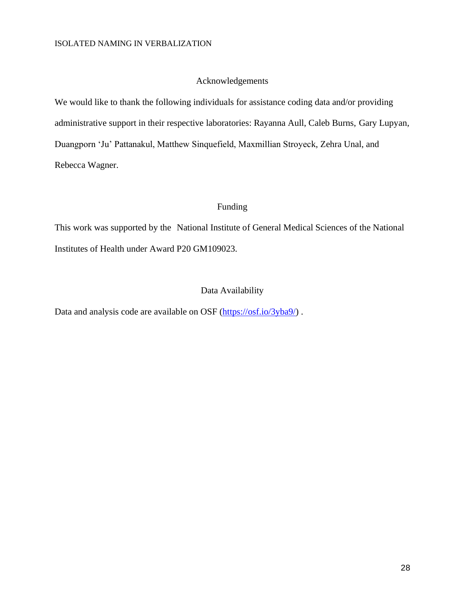## Acknowledgements

We would like to thank the following individuals for assistance coding data and/or providing administrative support in their respective laboratories: Rayanna Aull, Caleb Burns, Gary Lupyan, Duangporn 'Ju' Pattanakul, Matthew Sinquefield, Maxmillian Stroyeck, Zehra Unal, and Rebecca Wagner.

# Funding

This work was supported by the National Institute of General Medical Sciences of the National Institutes of Health under Award P20 GM109023.

#### Data Availability

Data and analysis code are available on OSF [\(https://osf.io/3yba9/\)](https://osf.io/3yba9/).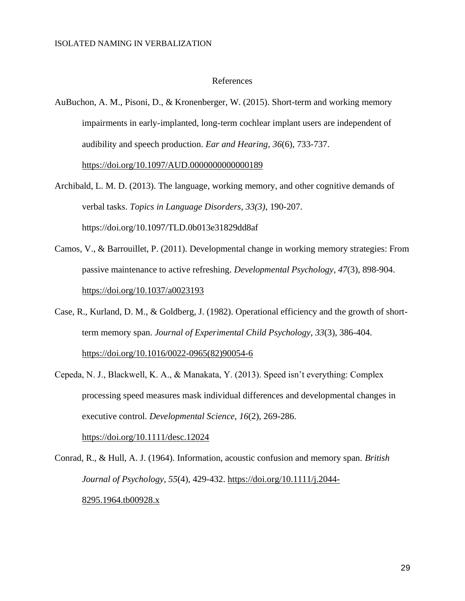#### References

AuBuchon, A. M., Pisoni, D., & Kronenberger, W. (2015). Short-term and working memory impairments in early-implanted, long-term cochlear implant users are independent of audibility and speech production. *Ear and Hearing*, *36*(6), 733-737.

<https://doi.org/10.1097/AUD.0000000000000189>

- Archibald, L. M. D. (2013). The language, working memory, and other cognitive demands of verbal tasks. *Topics in Language Disorders, 33(3)*, 190-207. https://doi.org/10.1097/TLD.0b013e31829dd8af
- Camos, V., & Barrouillet, P. (2011). Developmental change in working memory strategies: From passive maintenance to active refreshing. *Developmental Psychology*, *47*(3), 898-904. <https://doi.org/10.1037/a0023193>
- Case, R., Kurland, D. M., & Goldberg, J. (1982). Operational efficiency and the growth of shortterm memory span. *Journal of Experimental Child Psychology*, *33*(3), 386-404. [https://doi.org/10.1016/0022-0965\(82\)90054-6](https://doi.org/10.1016/0022-0965(82)90054-6)
- Cepeda, N. J., Blackwell, K. A., & Manakata, Y. (2013). Speed isn't everything: Complex processing speed measures mask individual differences and developmental changes in executive control. *Developmental Science*, *16*(2), 269-286.

<https://doi.org/10.1111/desc.12024>

Conrad, R., & Hull, A. J. (1964). Information, acoustic confusion and memory span. *British Journal of Psychology*, *55*(4), 429-432. [https://doi.org/10.1111/j.2044-](https://doi.org/10.1111/j.2044-8295.1964.tb00928.x) [8295.1964.tb00928.x](https://doi.org/10.1111/j.2044-8295.1964.tb00928.x)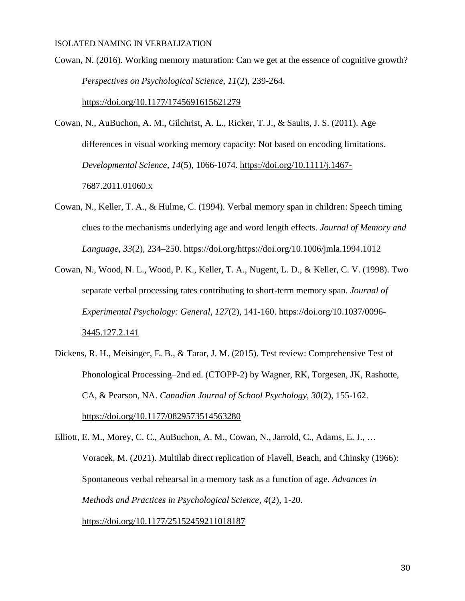Cowan, N. (2016). Working memory maturation: Can we get at the essence of cognitive growth? *Perspectives on Psychological Science, 11*(2), 239-264.

<https://doi.org/10.1177/1745691615621279>

- Cowan, N., AuBuchon, A. M., Gilchrist, A. L., Ricker, T. J., & Saults, J. S. (2011). Age differences in visual working memory capacity: Not based on encoding limitations. *Developmental Science*, *14*(5), 1066-1074. [https://doi.org/10.1111/j.1467-](https://doi.org/10.1111/j.1467-7687.2011.01060.x) [7687.2011.01060.x](https://doi.org/10.1111/j.1467-7687.2011.01060.x)
- Cowan, N., Keller, T. A., & Hulme, C. (1994). Verbal memory span in children: Speech timing clues to the mechanisms underlying age and word length effects. *Journal of Memory and Language, 33*(2)*,* 234–250. https://doi.org/https://doi.org/10.1006/jmla.1994.1012
- Cowan, N., Wood, N. L., Wood, P. K., Keller, T. A., Nugent, L. D., & Keller, C. V. (1998). Two separate verbal processing rates contributing to short-term memory span. *Journal of Experimental Psychology: General*, *127*(2), 141-160. [https://doi.org/10.1037/0096-](https://doi.org/10.1037/0096-3445.127.2.141) [3445.127.2.141](https://doi.org/10.1037/0096-3445.127.2.141)
- Dickens, R. H., Meisinger, E. B., & Tarar, J. M. (2015). Test review: Comprehensive Test of Phonological Processing–2nd ed. (CTOPP-2) by Wagner, RK, Torgesen, JK, Rashotte, CA, & Pearson, NA. *Canadian Journal of School Psychology, 30*(2), 155-162. <https://doi.org/10.1177/0829573514563280>
- Elliott, E. M., Morey, C. C., AuBuchon, A. M., Cowan, N., Jarrold, C., Adams, E. J., … Voracek, M. (2021). Multilab direct replication of Flavell, Beach, and Chinsky (1966): Spontaneous verbal rehearsal in a memory task as a function of age. *Advances in Methods and Practices in Psychological Science*, *4*(2), 1-20. <https://doi.org/10.1177/25152459211018187>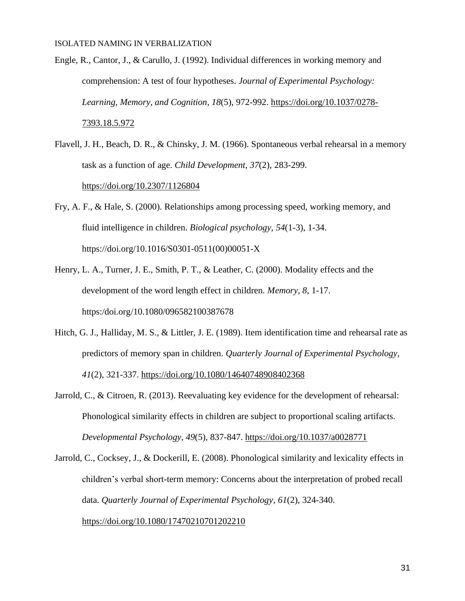- Engle, R., Cantor, J., & Carullo, J. (1992). Individual differences in working memory and comprehension: A test of four hypotheses. *Journal of Experimental Psychology: Learning, Memory, and Cognition*, *18*(5), 972-992. [https://doi.org/10.1037/0278-](https://doi.org/10.1037/0278-7393.18.5.972) [7393.18.5.972](https://doi.org/10.1037/0278-7393.18.5.972)
- Flavell, J. H., Beach, D. R., & Chinsky, J. M. (1966). Spontaneous verbal rehearsal in a memory task as a function of age. *Child Development*, *37*(2), 283-299. <https://doi.org/10.2307/1126804>
- Fry, A. F., & Hale, S. (2000). Relationships among processing speed, working memory, and fluid intelligence in children. *Biological psychology*, *54*(1-3), 1-34. https://doi.org/10.1016/S0301-0511(00)00051-X
- Henry, L. A., Turner, J. E., Smith, P. T., & Leather, C. (2000). Modality effects and the development of the word length effect in children. *Memory, 8*, 1-17. https:/doi.org/10.1080/096582100387678
- Hitch, G. J., Halliday, M. S., & Littler, J. E. (1989). Item identification time and rehearsal rate as predictors of memory span in children. *Quarterly Journal of Experimental Psychology*, *41*(2), 321-337.<https://doi.org/10.1080/14640748908402368>
- Jarrold, C., & Citroen, R. (2013). Reevaluating key evidence for the development of rehearsal: Phonological similarity effects in children are subject to proportional scaling artifacts. *Developmental Psychology*, *49*(5), 837-847.<https://doi.org/10.1037/a0028771>
- Jarrold, C., Cocksey, J., & Dockerill, E. (2008). Phonological similarity and lexicality effects in children's verbal short-term memory: Concerns about the interpretation of probed recall data. *Quarterly Journal of Experimental Psychology*, *61*(2), 324-340. <https://doi.org/10.1080/17470210701202210>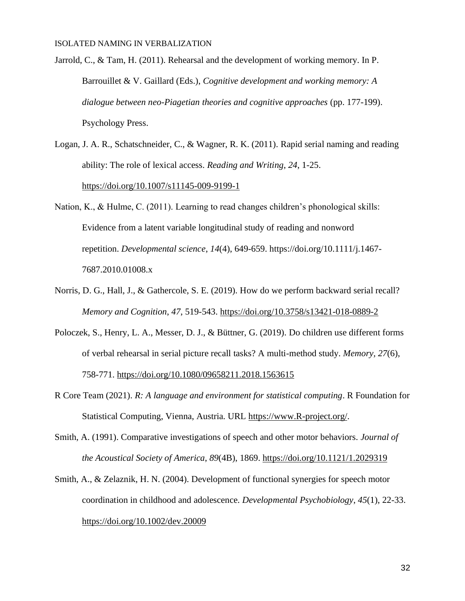Jarrold, C., & Tam, H. (2011). Rehearsal and the development of working memory. In P. Barrouillet & V. Gaillard (Eds.), *Cognitive development and working memory: A dialogue between neo-Piagetian theories and cognitive approaches* (pp. 177-199). Psychology Press.

- Logan, J. A. R., Schatschneider, C., & Wagner, R. K. (2011). Rapid serial naming and reading ability: The role of lexical access. *Reading and Writing*, *24*, 1-25. <https://doi.org/10.1007/s11145-009-9199-1>
- Nation, K., & Hulme, C. (2011). Learning to read changes children's phonological skills: Evidence from a latent variable longitudinal study of reading and nonword repetition. *Developmental science*, *14*(4), 649-659. https://doi.org/10.1111/j.1467- 7687.2010.01008.x
- Norris, D. G., Hall, J., & Gathercole, S. E. (2019). How do we perform backward serial recall? *Memory and Cognition*, *47*, 519-543.<https://doi.org/10.3758/s13421-018-0889-2>
- Poloczek, S., Henry, L. A., Messer, D. J., & Büttner, G. (2019). Do children use different forms of verbal rehearsal in serial picture recall tasks? A multi-method study. *Memory, 27*(6), 758-771.<https://doi.org/10.1080/09658211.2018.1563615>
- R Core Team (2021). *R: A language and environment for statistical computing*. R Foundation for Statistical Computing, Vienna, Austria. URL [https://www.R-project.org/.](https://www.r-project.org/)
- Smith, A. (1991). Comparative investigations of speech and other motor behaviors. *Journal of the Acoustical Society of America*, *89*(4B), 1869.<https://doi.org/10.1121/1.2029319>
- Smith, A., & Zelaznik, H. N. (2004). Development of functional synergies for speech motor coordination in childhood and adolescence. *Developmental Psychobiology*, *45*(1), 22-33. <https://doi.org/10.1002/dev.20009>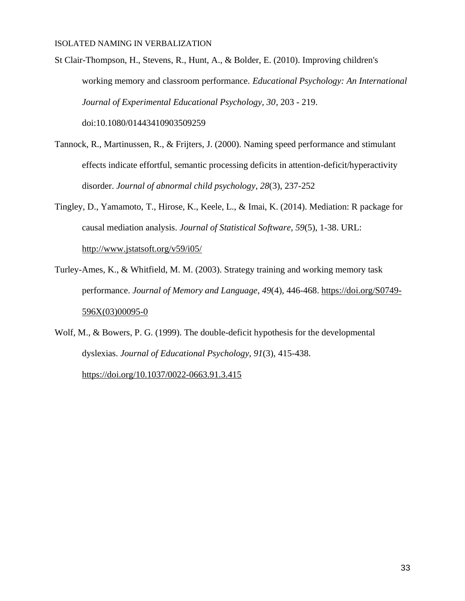St Clair-Thompson, H., Stevens, R., Hunt, A., & Bolder, E. (2010). Improving children's working memory and classroom performance. *Educational Psychology: An International Journal of Experimental Educational Psychology, 30*, 203 - 219. doi:10.1080/01443410903509259

- Tannock, R., Martinussen, R., & Frijters, J. (2000). Naming speed performance and stimulant effects indicate effortful, semantic processing deficits in attention-deficit/hyperactivity disorder. *Journal of abnormal child psychology*, *28*(3), 237-252
- Tingley, D., Yamamoto, T., Hirose, K., Keele, L., & Imai, K. (2014). Mediation: R package for causal mediation analysis. *Journal of Statistical Software*, *59*(5), 1-38. URL: <http://www.jstatsoft.org/v59/i05/>
- Turley-Ames, K., & Whitfield, M. M. (2003). Strategy training and working memory task performance. *Journal of Memory and Language*, *49*(4), 446-468. [https://doi.org/S0749-](https://doi.org/S0749-596X(03)00095-0) [596X\(03\)00095-0](https://doi.org/S0749-596X(03)00095-0)
- Wolf, M., & Bowers, P. G. (1999). The double-deficit hypothesis for the developmental dyslexias. *Journal of Educational Psychology*, *91*(3), 415-438.

<https://doi.org/10.1037/0022-0663.91.3.415>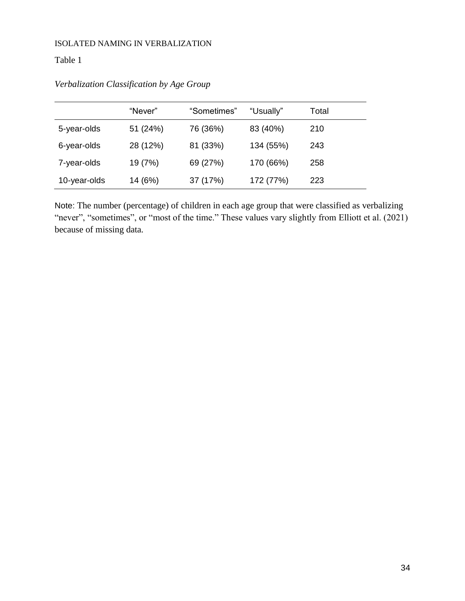# Table 1

| Verbalization Classification by Age Group |  |
|-------------------------------------------|--|
|                                           |  |

|              | "Never"  | "Sometimes" | "Usually" | Total |
|--------------|----------|-------------|-----------|-------|
| 5-year-olds  | 51 (24%) | 76 (36%)    | 83 (40%)  | 210   |
| 6-year-olds  | 28 (12%) | 81 (33%)    | 134 (55%) | 243   |
| 7-year-olds  | 19 (7%)  | 69 (27%)    | 170 (66%) | 258   |
| 10-year-olds | 14 (6%)  | 37 (17%)    | 172 (77%) | 223   |

Note: The number (percentage) of children in each age group that were classified as verbalizing "never", "sometimes", or "most of the time." These values vary slightly from Elliott et al. (2021) because of missing data.